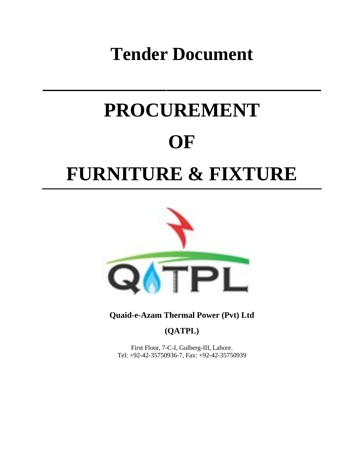## **Tender Document**

# **PROCUREMENT OF FURNITURE & FIXTURE**



**Quaid-e-Azam Thermal Power (Pvt) Ltd**

**(QATPL)**

First Floor, 7-C-I, Gulberg-III, Lahore. Tel: +92-42-35750936-7, Fax: +92-42-35750939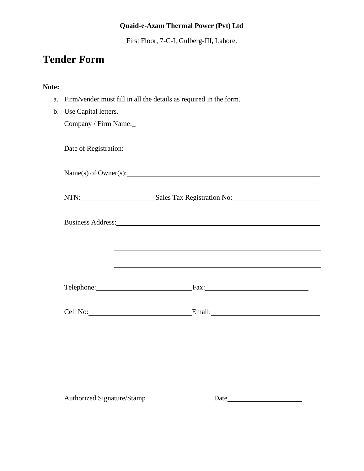First Floor, 7-C-I, Gulberg-III, Lahore.

### **Tender Form**

#### **Note:**

a. Firm/vender must fill in all the details as required in the form.

| b. Use Capital letters. |                                                                                                                                                                                                                                |
|-------------------------|--------------------------------------------------------------------------------------------------------------------------------------------------------------------------------------------------------------------------------|
|                         | Company / Firm Name:                                                                                                                                                                                                           |
|                         |                                                                                                                                                                                                                                |
|                         | Date of Registration: Note that the contract of the contract of the contract of the contract of the contract of the contract of the contract of the contract of the contract of the contract of the contract of the contract o |
|                         |                                                                                                                                                                                                                                |
|                         | Name(s) of Owner(s):                                                                                                                                                                                                           |
|                         |                                                                                                                                                                                                                                |
|                         | NTN: Sales Tax Registration No:                                                                                                                                                                                                |
|                         |                                                                                                                                                                                                                                |
|                         | Business Address: 1988 and 1989 and 1989 and 1989 and 1989 and 1989 and 1989 and 1989 and 1989 and 1989 and 19                                                                                                                 |
|                         |                                                                                                                                                                                                                                |
|                         |                                                                                                                                                                                                                                |
|                         |                                                                                                                                                                                                                                |
|                         | ,我们也不能在这里的时候,我们也不能会在这里,我们也不能会在这里的时候,我们也不能会在这里的时候,我们也不能会在这里的时候,我们也不能会在这里的时候,我们也不能                                                                                                                                               |
|                         |                                                                                                                                                                                                                                |
|                         | $\text{Fax:}\n\begin{array}{ccc}\n\text{Fax:}\n\end{array}$                                                                                                                                                                    |
|                         |                                                                                                                                                                                                                                |
|                         |                                                                                                                                                                                                                                |

Authorized Signature/Stamp Date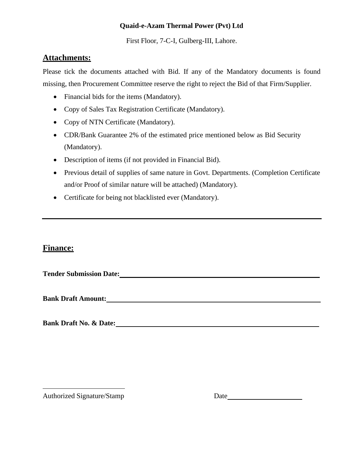First Floor, 7-C-I, Gulberg-III, Lahore.

#### **Attachments:**

Please tick the documents attached with Bid. If any of the Mandatory documents is found missing, then Procurement Committee reserve the right to reject the Bid of that Firm/Supplier.

- Financial bids for the items (Mandatory).
- Copy of Sales Tax Registration Certificate (Mandatory).
- Copy of NTN Certificate (Mandatory).
- CDR/Bank Guarantee 2% of the estimated price mentioned below as Bid Security (Mandatory).
- Description of items (if not provided in Financial Bid).
- Previous detail of supplies of same nature in Govt. Departments. (Completion Certificate and/or Proof of similar nature will be attached) (Mandatory).
- Certificate for being not blacklisted ever (Mandatory).

#### **Finance:**

**Bank Draft Amount:**

**Bank Draft No. & Date:**

Authorized Signature/Stamp Date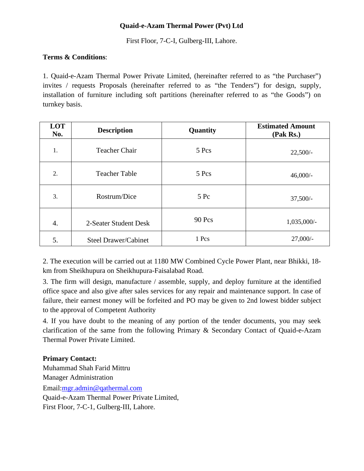First Floor, 7-C-I, Gulberg-III, Lahore.

#### **Terms & Conditions**:

1. Quaid-e-Azam Thermal Power Private Limited, (hereinafter referred to as "the Purchaser") invites / requests Proposals (hereinafter referred to as "the Tenders") for design, supply, installation of furniture including soft partitions (hereinafter referred to as "the Goods") on turnkey basis.

| LOT<br>No. | <b>Description</b>    | Quantity | <b>Estimated Amount</b><br>(Pak Rs.) |
|------------|-----------------------|----------|--------------------------------------|
| 1.         | <b>Teacher Chair</b>  | 5 Pcs    | $22,500/-$                           |
| 2.         | <b>Teacher Table</b>  | 5 Pcs    | $46,000/-$                           |
| 3.         | Rostrum/Dice          | 5Pc      | $37,500/-$                           |
| 4.         | 2-Seater Student Desk | 90 Pcs   | 1,035,000/-                          |
| 5.         | Steel Drawer/Cabinet  | 1 Pcs    | $27,000/-$                           |

2. The execution will be carried out at 1180 MW Combined Cycle Power Plant, near Bhikki, 18 km from Sheikhupura on Sheikhupura-Faisalabad Road.

3. The firm will design, manufacture / assemble, supply, and deploy furniture at the identified office space and also give after sales services for any repair and maintenance support. In case of failure, their earnest money will be forfeited and PO may be given to 2nd lowest bidder subject to the approval of Competent Authority

4. If you have doubt to the meaning of any portion of the tender documents, you may seek clarification of the same from the following Primary & Secondary Contact of Quaid-e-Azam Thermal Power Private Limited.

#### **Primary Contact:**

Muhammad Shah Farid Mittru Manager Administration Email[:mgr.admin@qathermal.com](mailto:mgr.admin@qathermal.com) Quaid-e-Azam Thermal Power Private Limited, First Floor, 7-C-1, Gulberg-III, Lahore.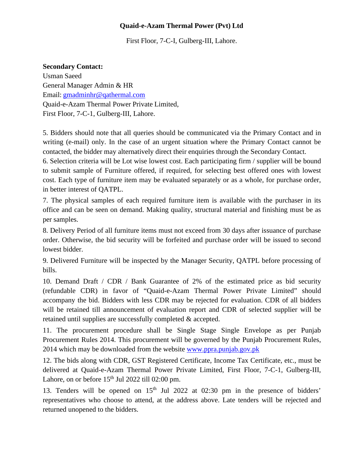First Floor, 7-C-I, Gulberg-III, Lahore.

#### **Secondary Contact:**

Usman Saeed General Manager Admin & HR Email: [gmadminhr@qathermal.com](mailto:gmadminhr@qathermal.com) Quaid-e-Azam Thermal Power Private Limited, First Floor, 7-C-1, Gulberg-III, Lahore.

5. Bidders should note that all queries should be communicated via the Primary Contact and in writing (e-mail) only. In the case of an urgent situation where the Primary Contact cannot be contacted, the bidder may alternatively direct their enquiries through the Secondary Contact.

6. Selection criteria will be Lot wise lowest cost. Each participating firm / supplier will be bound to submit sample of Furniture offered, if required, for selecting best offered ones with lowest cost. Each type of furniture item may be evaluated separately or as a whole, for purchase order, in better interest of QATPL.

7. The physical samples of each required furniture item is available with the purchaser in its office and can be seen on demand. Making quality, structural material and finishing must be as per samples.

8. Delivery Period of all furniture items must not exceed from 30 days after issuance of purchase order. Otherwise, the bid security will be forfeited and purchase order will be issued to second lowest bidder.

9. Delivered Furniture will be inspected by the Manager Security, QATPL before processing of bills.

10. Demand Draft / CDR / Bank Guarantee of 2% of the estimated price as bid security (refundable CDR) in favor of "Quaid-e-Azam Thermal Power Private Limited" should accompany the bid. Bidders with less CDR may be rejected for evaluation. CDR of all bidders will be retained till announcement of evaluation report and CDR of selected supplier will be retained until supplies are successfully completed & accepted.

11. The procurement procedure shall be Single Stage Single Envelope as per Punjab Procurement Rules 2014. This procurement will be governed by the Punjab Procurement Rules, 2014 which may be downloaded from the website [www.ppra.punjab.gov.pk](http://www.ppra.punjab.gov.pk/)

12. The bids along with CDR, GST Registered Certificate, Income Tax Certificate, etc., must be delivered at Quaid-e-Azam Thermal Power Private Limited, First Floor, 7-C-1, Gulberg-III, Lahore, on or before  $15<sup>th</sup>$  Jul 2022 till 02:00 pm.

13. Tenders will be opened on  $15<sup>th</sup>$  Jul 2022 at 02:30 pm in the presence of bidders' representatives who choose to attend, at the address above. Late tenders will be rejected and returned unopened to the bidders.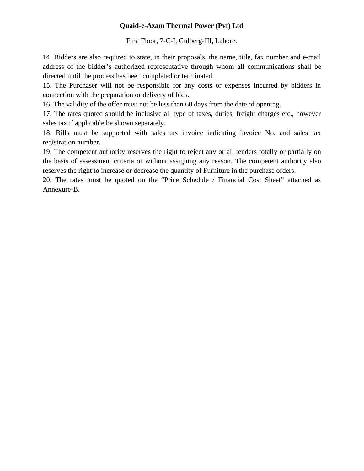First Floor, 7-C-I, Gulberg-III, Lahore.

14. Bidders are also required to state, in their proposals, the name, title, fax number and e-mail address of the bidder's authorized representative through whom all communications shall be directed until the process has been completed or terminated.

15. The Purchaser will not be responsible for any costs or expenses incurred by bidders in connection with the preparation or delivery of bids.

16. The validity of the offer must not be less than 60 days from the date of opening.

17. The rates quoted should be inclusive all type of taxes, duties, freight charges etc., however sales tax if applicable be shown separately.

18. Bills must be supported with sales tax invoice indicating invoice No. and sales tax registration number.

19. The competent authority reserves the right to reject any or all tenders totally or partially on the basis of assessment criteria or without assigning any reason. The competent authority also reserves the right to increase or decrease the quantity of Furniture in the purchase orders.

20. The rates must be quoted on the "Price Schedule / Financial Cost Sheet" attached as Annexure-B.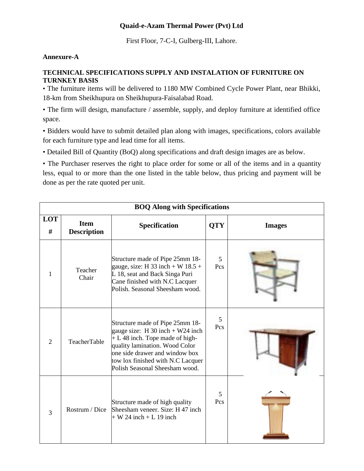First Floor, 7-C-I, Gulberg-III, Lahore.

#### **Annexure-A**

#### **TECHNICAL SPECIFICATIONS SUPPLY AND INSTALATION OF FURNITURE ON TURNKEY BASIS**

• The furniture items will be delivered to 1180 MW Combined Cycle Power Plant, near Bhikki, 18-km from Sheikhupura on Sheikhupura-Faisalabad Road.

• The firm will design, manufacture / assemble, supply, and deploy furniture at identified office space.

• Bidders would have to submit detailed plan along with images, specifications, colors available for each furniture type and lead time for all items.

• Detailed Bill of Quantity (BoQ) along specifications and draft design images are as below.

• The Purchaser reserves the right to place order for some or all of the items and in a quantity less, equal to or more than the one listed in the table below, thus pricing and payment will be done as per the rate quoted per unit.

| <b>BOQ Along with Specifications</b> |                                   |                                                                                                                                                                                                                                                       |            |               |  |  |  |
|--------------------------------------|-----------------------------------|-------------------------------------------------------------------------------------------------------------------------------------------------------------------------------------------------------------------------------------------------------|------------|---------------|--|--|--|
| LOT<br>#                             | <b>Item</b><br><b>Description</b> | Specification                                                                                                                                                                                                                                         | <b>QTY</b> | <b>Images</b> |  |  |  |
| 1                                    | Teacher<br>Chair                  | Structure made of Pipe 25mm 18-<br>gauge, size: H 33 inch + W $18.5 +$<br>L 18, seat and Back Singa Puri<br>Cane finished with N.C Lacquer<br>Polish. Seasonal Sheesham wood.                                                                         | 5<br>Pcs   |               |  |  |  |
| $\overline{2}$                       | TeacherTable                      | Structure made of Pipe 25mm 18-<br>gauge size: $H$ 30 inch + W24 inch<br>$+ L 48$ inch. Tope made of high-<br>quality lamination. Wood Color<br>one side drawer and window box<br>tow lox finished with N.C Lacquer<br>Polish Seasonal Sheesham wood. | 5<br>Pcs   |               |  |  |  |
| 3                                    | Rostrum / Dice                    | Structure made of high quality<br>Sheesham veneer. Size: H 47 inch<br>$+ W 24$ inch $+ L 19$ inch                                                                                                                                                     | 5<br>Pcs   |               |  |  |  |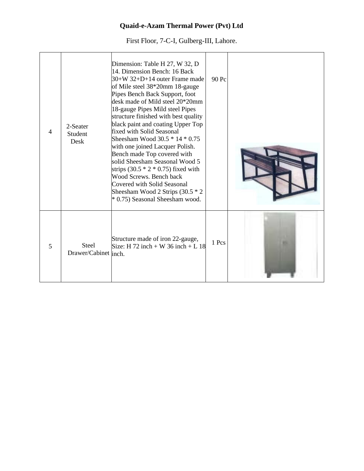First Floor, 7-C-I, Gulberg-III, Lahore.

| $\overline{4}$ | 2-Seater<br>Student<br>Desk          | Dimension: Table H 27, W 32, D<br>14. Dimension Bench: 16 Back<br>$30+W 32+D+14$ outer Frame made<br>of Mile steel 38*20mm 18-gauge<br>Pipes Bench Back Support, foot<br>desk made of Mild steel 20*20mm<br>18-gauge Pipes Mild steel Pipes<br>structure finished with best quality<br>black paint and coating Upper Top<br>fixed with Solid Seasonal<br>Sheesham Wood $30.5 * 14 * 0.75$<br>with one joined Lacquer Polish.<br>Bench made Top covered with<br>solid Sheesham Seasonal Wood 5<br>strips $(30.5 * 2 * 0.75)$ fixed with<br>Wood Screws. Bench back<br>Covered with Solid Seasonal<br>Sheesham Wood 2 Strips (30.5 * 2<br>* 0.75) Seasonal Sheesham wood. | 90 Pc |  |
|----------------|--------------------------------------|-------------------------------------------------------------------------------------------------------------------------------------------------------------------------------------------------------------------------------------------------------------------------------------------------------------------------------------------------------------------------------------------------------------------------------------------------------------------------------------------------------------------------------------------------------------------------------------------------------------------------------------------------------------------------|-------|--|
| 5              | <b>Steel</b><br>Drawer/Cabinet inch. | Structure made of iron 22-gauge,<br>Size: H 72 inch + W 36 inch + L 18                                                                                                                                                                                                                                                                                                                                                                                                                                                                                                                                                                                                  | 1 Pcs |  |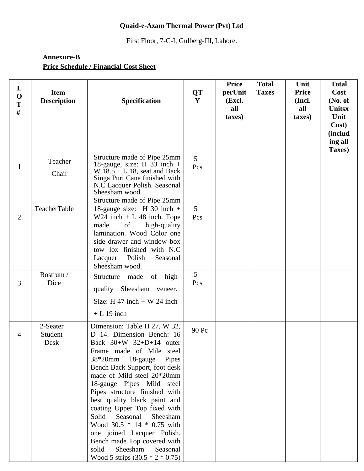First Floor, 7-C-I, Gulberg-III, Lahore.

#### **Annexure-B Price Schedule / Financial Cost Sheet**

| L<br>$\mathbf 0$<br>T<br>$\#$ | <b>Item</b><br><b>Description</b> | Specification                                                                                                                                                                                                                                                                                                                                                                                                                                                                                                                                    | <b>QT</b><br>Y        | <b>Price</b><br>perUnit<br>(Excl.<br>all<br>taxes) | <b>Total</b><br><b>Taxes</b> | Unit<br><b>Price</b><br>(Incl.<br>all<br>taxes) | <b>Total</b><br>Cost<br>(No. of<br><b>Unitsx</b><br>Unit<br>Cost)<br><i>(includ</i><br>ing all<br>Taxes) |
|-------------------------------|-----------------------------------|--------------------------------------------------------------------------------------------------------------------------------------------------------------------------------------------------------------------------------------------------------------------------------------------------------------------------------------------------------------------------------------------------------------------------------------------------------------------------------------------------------------------------------------------------|-----------------------|----------------------------------------------------|------------------------------|-------------------------------------------------|----------------------------------------------------------------------------------------------------------|
| $\mathbf{1}$                  | Teacher<br>Chair                  | Structure made of Pipe 25mm<br>18-gauge, size: H $33$ inch +<br>W $\overline{18.5} + L$ 18, seat and Back<br>Singa Puri Cane finished with<br>N.C Lacquer Polish. Seasonal<br>Sheesham wood.                                                                                                                                                                                                                                                                                                                                                     | $\overline{5}$<br>Pcs |                                                    |                              |                                                 |                                                                                                          |
| $\overline{2}$                | TeacherTable                      | Structure made of Pipe 25mm<br>18-gauge size: H 30 inch $+$<br>$W24$ inch + L 48 inch. Tope<br>of<br>high-quality<br>made<br>lamination. Wood Color one<br>side drawer and window box<br>tow lox finished with N.C<br>Lacquer<br>Polish<br>Seasonal<br>Sheesham wood.                                                                                                                                                                                                                                                                            | 5<br>Pcs              |                                                    |                              |                                                 |                                                                                                          |
| 3                             | Rostrum /<br>Dice                 | Structure made<br>of high<br>quality Sheesham veneer.<br>Size: H 47 inch + W 24 inch<br>$+ L 19$ inch                                                                                                                                                                                                                                                                                                                                                                                                                                            | 5<br>Pcs              |                                                    |                              |                                                 |                                                                                                          |
| 4                             | 2-Seater<br>Student<br>Desk       | Dimension: Table H 27, W 32,<br>D 14. Dimension Bench: 16<br>Back $30+W$ $32+D+14$ outer<br>Frame made of Mile steel<br>38*20mm<br>18-gauge Pipes<br>Bench Back Support, foot desk<br>made of Mild steel 20*20mm<br>18-gauge Pipes Mild steel<br>Pipes structure finished with<br>best quality black paint and<br>coating Upper Top fixed with<br>Solid<br>Seasonal<br>Sheesham<br>Wood 30.5 * 14 * 0.75 with<br>one joined Lacquer Polish.<br>Bench made Top covered with<br>Sheesham<br>solid<br>Seasonal<br>Wood 5 strips $(30.5 * 2 * 0.75)$ | 90 Pc                 |                                                    |                              |                                                 |                                                                                                          |